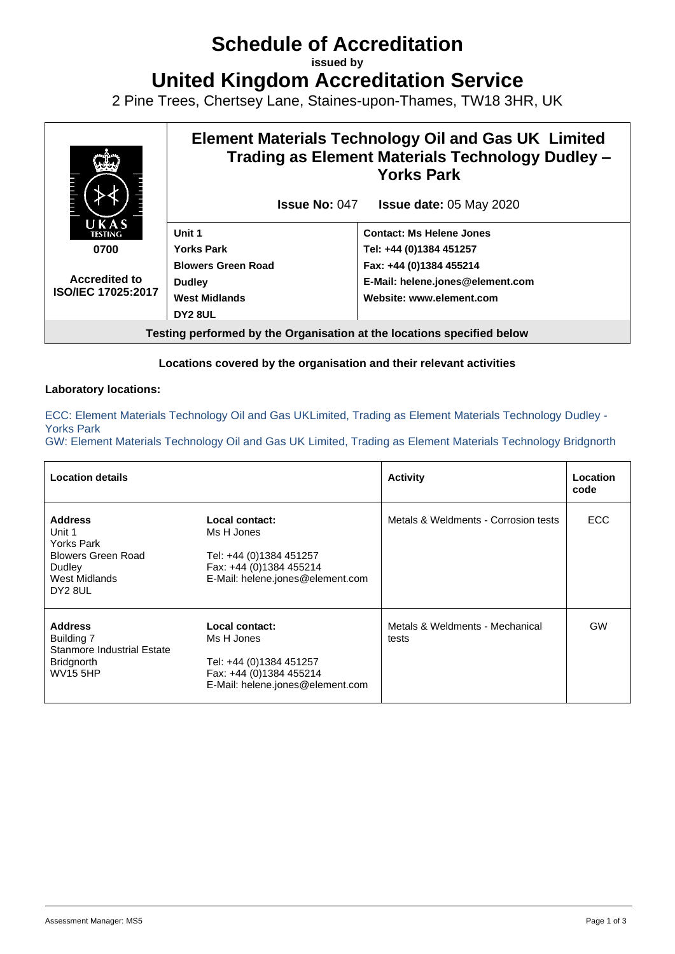# **Schedule of Accreditation**

**issued by**

**United Kingdom Accreditation Service**

2 Pine Trees, Chertsey Lane, Staines-upon-Thames, TW18 3HR, UK



#### **Locations covered by the organisation and their relevant activities**

#### **Laboratory locations:**

ECC: Element Materials Technology Oil and Gas UKLimited, Trading as Element Materials Technology Dudley - Yorks Park

GW: Element Materials Technology Oil and Gas UK Limited, Trading as Element Materials Technology Bridgnorth

| <b>Location details</b>                                                                                   |                                                                                                                        | <b>Activity</b>                          | Location<br>code |
|-----------------------------------------------------------------------------------------------------------|------------------------------------------------------------------------------------------------------------------------|------------------------------------------|------------------|
| <b>Address</b><br>Unit 1<br>Yorks Park                                                                    | Metals & Weldments - Corrosion tests<br>Local contact:<br>Ms H Jones                                                   | ECC.                                     |                  |
| <b>Blowers Green Road</b><br>Dudley<br>West Midlands<br>DY2 8UL                                           | Tel: +44 (0)1384 451257<br>Fax: +44 (0)1384 455214<br>E-Mail: helene.jones@element.com                                 |                                          |                  |
| <b>Address</b><br>Building 7<br><b>Stanmore Industrial Estate</b><br><b>Bridgnorth</b><br><b>WV15 5HP</b> | Local contact:<br>Ms H Jones<br>Tel: +44 (0)1384 451257<br>Fax: +44 (0)1384 455214<br>E-Mail: helene.jones@element.com | Metals & Weldments - Mechanical<br>tests | GW               |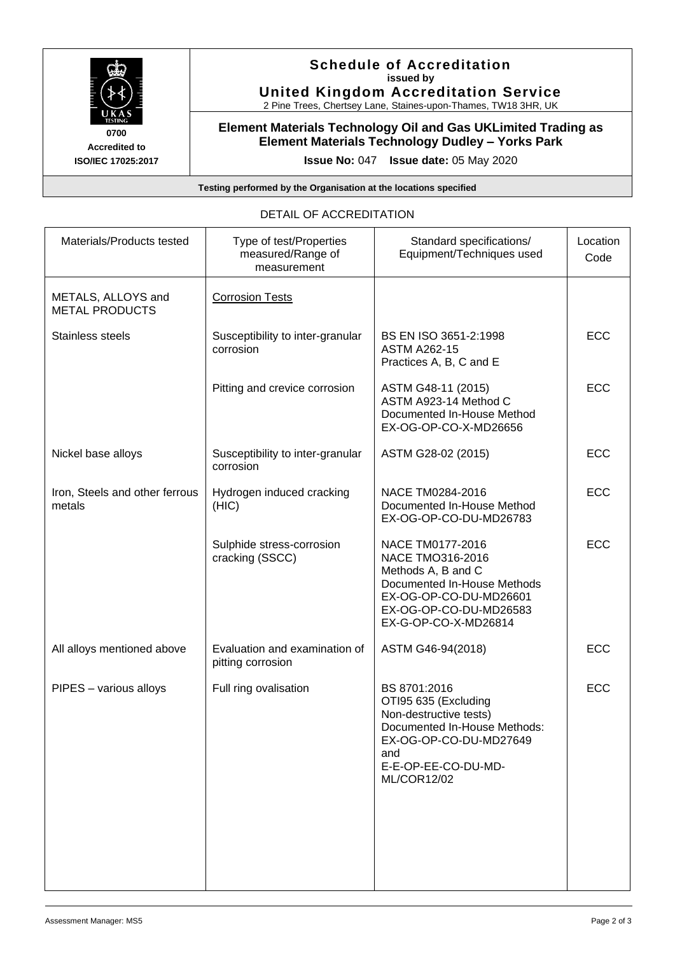

### **Schedule of Accreditation issued by United Kingdom Accreditation Service**

2 Pine Trees, Chertsey Lane, Staines-upon-Thames, TW18 3HR, UK

### **Element Materials Technology Oil and Gas UKLimited Trading as Element Materials Technology Dudley – Yorks Park**

**Issue No:** 047 **Issue date:** 05 May 2020

**Testing performed by the Organisation at the locations specified**

### DETAIL OF ACCREDITATION

| Materials/Products tested                   | Type of test/Properties<br>measured/Range of<br>measurement | Standard specifications/<br>Equipment/Techniques used                                                                                                                        | Location<br>Code |
|---------------------------------------------|-------------------------------------------------------------|------------------------------------------------------------------------------------------------------------------------------------------------------------------------------|------------------|
| METALS, ALLOYS and<br><b>METAL PRODUCTS</b> | <b>Corrosion Tests</b>                                      |                                                                                                                                                                              |                  |
| <b>Stainless steels</b>                     | Susceptibility to inter-granular<br>corrosion               | BS EN ISO 3651-2:1998<br><b>ASTM A262-15</b><br>Practices A, B, C and E                                                                                                      | <b>ECC</b>       |
|                                             | Pitting and crevice corrosion                               | ASTM G48-11 (2015)<br>ASTM A923-14 Method C<br>Documented In-House Method<br>EX-OG-OP-CO-X-MD26656                                                                           | <b>ECC</b>       |
| Nickel base alloys                          | Susceptibility to inter-granular<br>corrosion               | ASTM G28-02 (2015)                                                                                                                                                           | <b>ECC</b>       |
| Iron, Steels and other ferrous<br>metals    | Hydrogen induced cracking<br>(HIC)                          | NACE TM0284-2016<br>Documented In-House Method<br>EX-OG-OP-CO-DU-MD26783                                                                                                     | <b>ECC</b>       |
|                                             | Sulphide stress-corrosion<br>cracking (SSCC)                | NACE TM0177-2016<br>NACE TMO316-2016<br>Methods A, B and C<br>Documented In-House Methods<br>EX-OG-OP-CO-DU-MD26601<br>EX-OG-OP-CO-DU-MD26583<br>EX-G-OP-CO-X-MD26814        | ECC              |
| All alloys mentioned above                  | Evaluation and examination of<br>pitting corrosion          | ASTM G46-94(2018)                                                                                                                                                            | <b>ECC</b>       |
| PIPES - various alloys                      | Full ring ovalisation                                       | BS 8701:2016<br>OTI95 635 (Excluding<br>Non-destructive tests)<br>Documented In-House Methods:<br>EX-OG-OP-CO-DU-MD27649<br>and<br>E-E-OP-EE-CO-DU-MD-<br><b>ML/COR12/02</b> | <b>ECC</b>       |